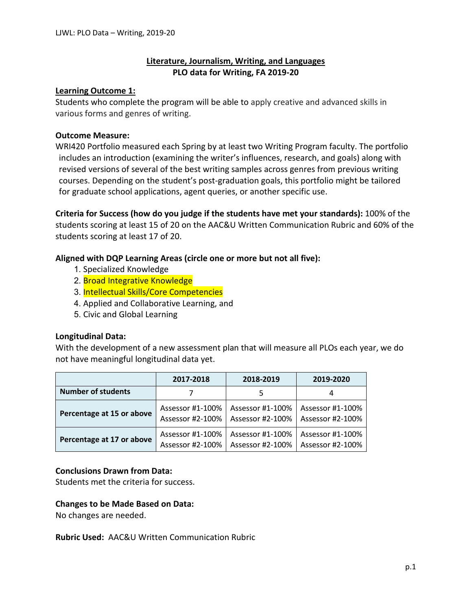# **Literature, Journalism, Writing, and Languages PLO data for Writing, FA 2019-20**

# **Learning Outcome 1:**

Students who complete the program will be able to apply creative and advanced skills in various forms and genres of writing.

# **Outcome Measure:**

WRI420 Portfolio measured each Spring by at least two Writing Program faculty. The portfolio includes an introduction (examining the writer's influences, research, and goals) along with revised versions of several of the best writing samples across genres from previous writing courses. Depending on the student's post-graduation goals, this portfolio might be tailored for graduate school applications, agent queries, or another specific use.

**Criteria for Success (how do you judge if the students have met your standards):** 100% of the students scoring at least 15 of 20 on the AAC&U Written Communication Rubric and 60% of the students scoring at least 17 of 20.

# **Aligned with DQP Learning Areas (circle one or more but not all five):**

- 1. Specialized Knowledge
- 2. **Broad Integrative Knowledge**
- 3. Intellectual Skills/Core Competencies
- 4. Applied and Collaborative Learning, and
- 5. Civic and Global Learning

# **Longitudinal Data:**

With the development of a new assessment plan that will measure all PLOs each year, we do not have meaningful longitudinal data yet.

|                           | 2017-2018        | 2018-2019        | 2019-2020        |
|---------------------------|------------------|------------------|------------------|
| <b>Number of students</b> |                  |                  | 4                |
| Percentage at 15 or above | Assessor #1-100% | Assessor #1-100% | Assessor #1-100% |
|                           | Assessor #2-100% | Assessor #2-100% | Assessor #2-100% |
| Percentage at 17 or above | Assessor #1-100% | Assessor #1-100% | Assessor #1-100% |
|                           | Assessor #2-100% | Assessor #2-100% | Assessor #2-100% |

# **Conclusions Drawn from Data:**

Students met the criteria for success.

# **Changes to be Made Based on Data:**

No changes are needed.

**Rubric Used:** AAC&U Written Communication Rubric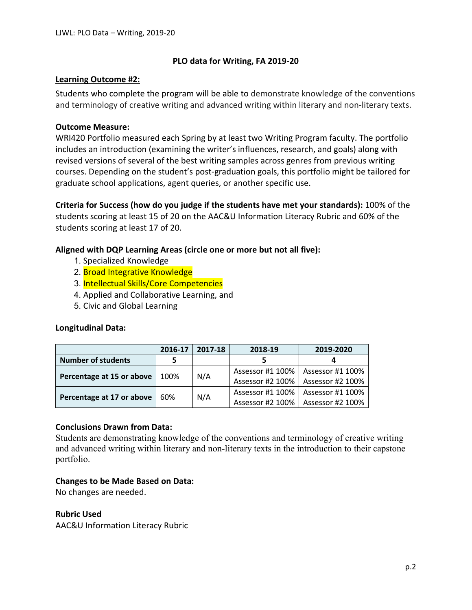# **PLO data for Writing, FA 2019-20**

### **Learning Outcome #2:**

Students who complete the program will be able to demonstrate knowledge of the conventions and terminology of creative writing and advanced writing within literary and non-literary texts.

### **Outcome Measure:**

WRI420 Portfolio measured each Spring by at least two Writing Program faculty. The portfolio includes an introduction (examining the writer's influences, research, and goals) along with revised versions of several of the best writing samples across genres from previous writing courses. Depending on the student's post-graduation goals, this portfolio might be tailored for graduate school applications, agent queries, or another specific use.

**Criteria for Success (how do you judge if the students have met your standards):** 100% of the students scoring at least 15 of 20 on the AAC&U Information Literacy Rubric and 60% of the students scoring at least 17 of 20.

# **Aligned with DQP Learning Areas (circle one or more but not all five):**

- 1. Specialized Knowledge
- 2. Broad Integrative Knowledge
- 3. Intellectual Skills/Core Competencies
- 4. Applied and Collaborative Learning, and
- 5. Civic and Global Learning

### **Longitudinal Data:**

|                           | 2016-17 | 2017-18 | 2018-19                             | 2019-2020        |
|---------------------------|---------|---------|-------------------------------------|------------------|
| <b>Number of students</b> | 5       |         |                                     |                  |
| Percentage at 15 or above | 100%    | N/A     | Assessor #1 100%   Assessor #1 100% |                  |
|                           |         |         | Assessor #2 100%   Assessor #2 100% |                  |
| Percentage at 17 or above | 60%     | N/A     | Assessor #1 100%                    | Assessor #1 100% |
|                           |         |         | Assessor #2 100%   Assessor #2 100% |                  |

### **Conclusions Drawn from Data:**

Students are demonstrating knowledge of the conventions and terminology of creative writing and advanced writing within literary and non-literary texts in the introduction to their capstone portfolio.

# **Changes to be Made Based on Data:**

No changes are needed.

### **Rubric Used**

AAC&U Information Literacy Rubric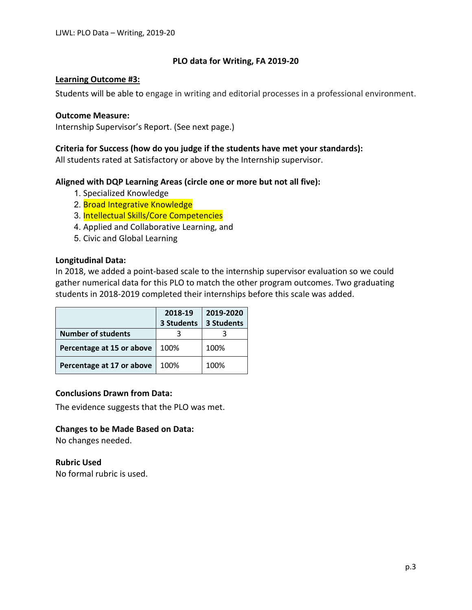# **PLO data for Writing, FA 2019-20**

## **Learning Outcome #3:**

Students will be able to engage in writing and editorial processes in a professional environment.

### **Outcome Measure:**

Internship Supervisor's Report. (See next page.)

## **Criteria for Success (how do you judge if the students have met your standards):**

All students rated at Satisfactory or above by the Internship supervisor.

# **Aligned with DQP Learning Areas (circle one or more but not all five):**

- 1. Specialized Knowledge
- 2. Broad Integrative Knowledge
- 3. Intellectual Skills/Core Competencies
- 4. Applied and Collaborative Learning, and
- 5. Civic and Global Learning

### **Longitudinal Data:**

In 2018, we added a point-based scale to the internship supervisor evaluation so we could gather numerical data for this PLO to match the other program outcomes. Two graduating students in 2018-2019 completed their internships before this scale was added.

|                           | 2018-19    | 2019-2020  |
|---------------------------|------------|------------|
|                           | 3 Students | 3 Students |
| <b>Number of students</b> |            |            |
| Percentage at 15 or above | 100%       | 100%       |
| Percentage at 17 or above | 100%       | 100%       |

# **Conclusions Drawn from Data:**

The evidence suggests that the PLO was met.

# **Changes to be Made Based on Data:**

No changes needed.

**Rubric Used**

No formal rubric is used.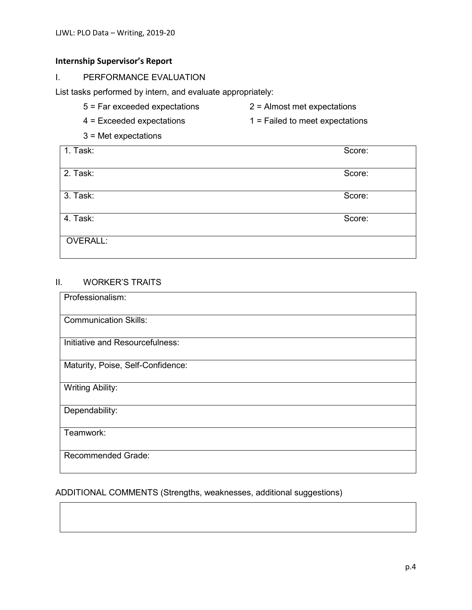# **Internship Supervisor's Report**

I. PERFORMANCE EVALUATION

List tasks performed by intern, and evaluate appropriately:

- 5 = Far exceeded expectations 2 = Almost met expectations
- 4 = Exceeded expectations 1 = Failed to meet expectations
- 3 = Met expectations

| $  1.$ Task: | Score: |
|--------------|--------|
| 2. Task:     | Score: |
| 3. Task:     | Score: |
| 4. Task:     | Score: |
| OVERALL:     |        |

# II. WORKER'S TRAITS

| Professionalism:                  |
|-----------------------------------|
| <b>Communication Skills:</b>      |
| Initiative and Resourcefulness:   |
| Maturity, Poise, Self-Confidence: |
| <b>Writing Ability:</b>           |
| Dependability:                    |
| Teamwork:                         |
| Recommended Grade:                |

# ADDITIONAL COMMENTS (Strengths, weaknesses, additional suggestions)